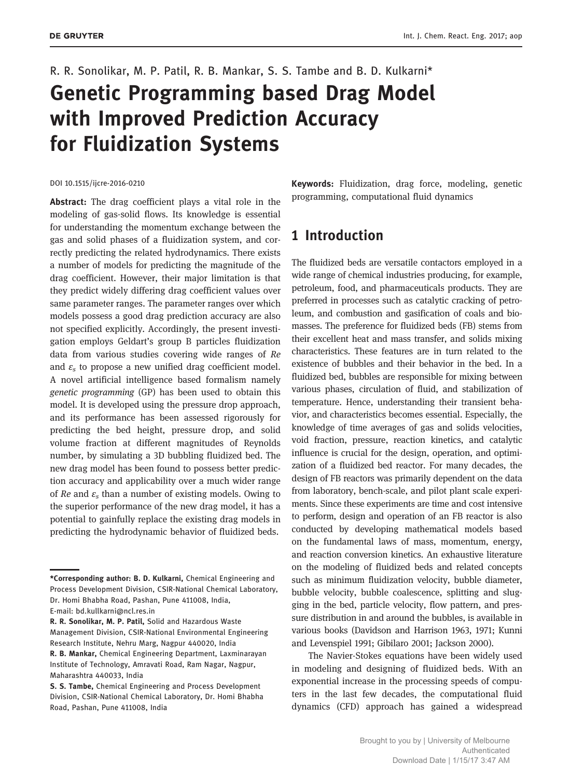# R. R. Sonolikar, M. P. Patil, R. B. Mankar, S. S. Tambe and B. D. Kulkarni\* Genetic Programming based Drag Model with Improved Prediction Accuracy for Fluidization Systems

#### DOI 10.1515/ijcre-2016-0210

Abstract: The drag coefficient plays a vital role in the modeling of gas-solid flows. Its knowledge is essential for understanding the momentum exchange between the gas and solid phases of a fluidization system, and correctly predicting the related hydrodynamics. There exists a number of models for predicting the magnitude of the drag coefficient. However, their major limitation is that they predict widely differing drag coefficient values over same parameter ranges. The parameter ranges over which models possess a good drag prediction accuracy are also not specified explicitly. Accordingly, the present investigation employs Geldart's group B particles fluidization data from various studies covering wide ranges of Re and  $\varepsilon$ <sub>s</sub> to propose a new unified drag coefficient model. A novel artificial intelligence based formalism namely genetic programming (GP) has been used to obtain this model. It is developed using the pressure drop approach, and its performance has been assessed rigorously for predicting the bed height, pressure drop, and solid volume fraction at different magnitudes of Reynolds number, by simulating a 3D bubbling fluidized bed. The new drag model has been found to possess better prediction accuracy and applicability over a much wider range of Re and  $\varepsilon$ <sub>s</sub> than a number of existing models. Owing to the superior performance of the new drag model, it has a potential to gainfully replace the existing drag models in predicting the hydrodynamic behavior of fluidized beds.

Management Division, CSIR-National Environmental Engineering Research Institute, Nehru Marg, Nagpur 440020, India

Keywords: Fluidization, drag force, modeling, genetic programming, computational fluid dynamics

## 1 Introduction

The fluidized beds are versatile contactors employed in a wide range of chemical industries producing, for example, petroleum, food, and pharmaceuticals products. They are preferred in processes such as catalytic cracking of petroleum, and combustion and gasification of coals and biomasses. The preference for fluidized beds (FB) stems from their excellent heat and mass transfer, and solids mixing characteristics. These features are in turn related to the existence of bubbles and their behavior in the bed. In a fluidized bed, bubbles are responsible for mixing between various phases, circulation of fluid, and stabilization of temperature. Hence, understanding their transient behavior, and characteristics becomes essential. Especially, the knowledge of time averages of gas and solids velocities, void fraction, pressure, reaction kinetics, and catalytic influence is crucial for the design, operation, and optimization of a fluidized bed reactor. For many decades, the design of FB reactors was primarily dependent on the data from laboratory, bench-scale, and pilot plant scale experiments. Since these experiments are time and cost intensive to perform, design and operation of an FB reactor is also conducted by developing mathematical models based on the fundamental laws of mass, momentum, energy, and reaction conversion kinetics. An exhaustive literature on the modeling of fluidized beds and related concepts such as minimum fluidization velocity, bubble diameter, bubble velocity, bubble coalescence, splitting and slugging in the bed, particle velocity, flow pattern, and pressure distribution in and around the bubbles, is available in various books (Davidson and Harrison 1963, 1971; Kunni and Levenspiel 1991; Gibilaro 2001; Jackson 2000).

The Navier-Stokes equations have been widely used in modeling and designing of fluidized beds. With an exponential increase in the processing speeds of computers in the last few decades, the computational fluid dynamics (CFD) approach has gained a widespread

<sup>\*</sup>Corresponding author: B. D. Kulkarni, Chemical Engineering and Process Development Division, CSIR-National Chemical Laboratory, Dr. Homi Bhabha Road, Pashan, Pune 411008, India, E-mail: bd.kullkarni@ncl.res.in

R. R. Sonolikar, M. P. Patil, Solid and Hazardous Waste

R. B. Mankar, Chemical Engineering Department, Laxminarayan Institute of Technology, Amravati Road, Ram Nagar, Nagpur, Maharashtra 440033, India

S. S. Tambe, Chemical Engineering and Process Development Division, CSIR-National Chemical Laboratory, Dr. Homi Bhabha Road, Pashan, Pune 411008, India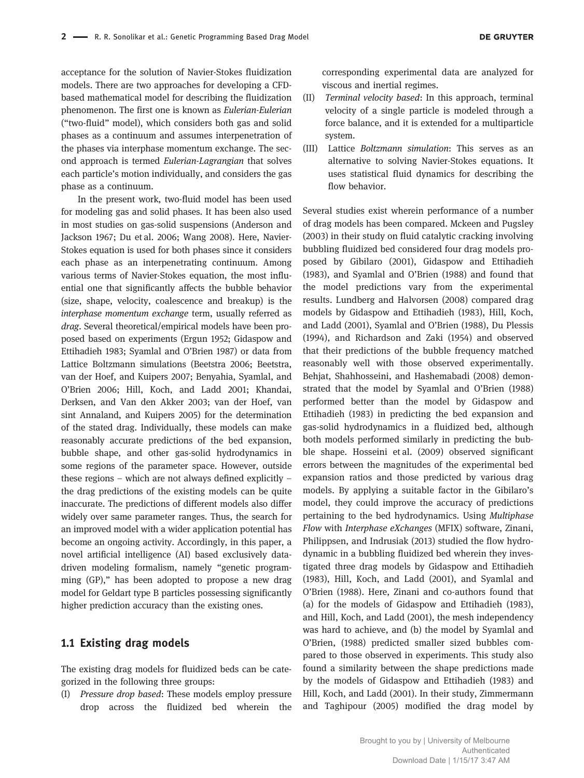acceptance for the solution of Navier-Stokes fluidization models. There are two approaches for developing a CFDbased mathematical model for describing the fluidization phenomenon. The first one is known as Eulerian-Eulerian ("two-fluid" model), which considers both gas and solid phases as a continuum and assumes interpenetration of the phases via interphase momentum exchange. The second approach is termed Eulerian-Lagrangian that solves each particle's motion individually, and considers the gas phase as a continuum.

In the present work, two-fluid model has been used for modeling gas and solid phases. It has been also used in most studies on gas-solid suspensions (Anderson and Jackson 1967; Du et al. 2006; Wang 2008). Here, Navier-Stokes equation is used for both phases since it considers each phase as an interpenetrating continuum. Among various terms of Navier-Stokes equation, the most influential one that significantly affects the bubble behavior (size, shape, velocity, coalescence and breakup) is the interphase momentum exchange term, usually referred as drag. Several theoretical/empirical models have been proposed based on experiments (Ergun 1952; Gidaspow and Ettihadieh 1983; Syamlal and O'Brien 1987) or data from Lattice Boltzmann simulations (Beetstra 2006; Beetstra, van der Hoef, and Kuipers 2007; Benyahia, Syamlal, and O'Brien 2006; Hill, Koch, and Ladd 2001; Khandai, Derksen, and Van den Akker 2003; van der Hoef, van sint Annaland, and Kuipers 2005) for the determination of the stated drag. Individually, these models can make reasonably accurate predictions of the bed expansion, bubble shape, and other gas-solid hydrodynamics in some regions of the parameter space. However, outside these regions – which are not always defined explicitly – the drag predictions of the existing models can be quite inaccurate. The predictions of different models also differ widely over same parameter ranges. Thus, the search for an improved model with a wider application potential has become an ongoing activity. Accordingly, in this paper, a novel artificial intelligence (AI) based exclusively datadriven modeling formalism, namely "genetic programming (GP)," has been adopted to propose a new drag model for Geldart type B particles possessing significantly higher prediction accuracy than the existing ones.

#### 1.1 Existing drag models

The existing drag models for fluidized beds can be categorized in the following three groups:

(I) Pressure drop based: These models employ pressure drop across the fluidized bed wherein the corresponding experimental data are analyzed for viscous and inertial regimes.

- (II) Terminal velocity based: In this approach, terminal velocity of a single particle is modeled through a force balance, and it is extended for a multiparticle system.
- (III) Lattice Boltzmann simulation: This serves as an alternative to solving Navier-Stokes equations. It uses statistical fluid dynamics for describing the flow behavior.

Several studies exist wherein performance of a number of drag models has been compared. Mckeen and Pugsley (2003) in their study on fluid catalytic cracking involving bubbling fluidized bed considered four drag models proposed by Gibilaro (2001), Gidaspow and Ettihadieh (1983), and Syamlal and O'Brien (1988) and found that the model predictions vary from the experimental results. Lundberg and Halvorsen (2008) compared drag models by Gidaspow and Ettihadieh (1983), Hill, Koch, and Ladd (2001), Syamlal and O'Brien (1988), Du Plessis (1994), and Richardson and Zaki (1954) and observed that their predictions of the bubble frequency matched reasonably well with those observed experimentally. Behjat, Shahhosseini, and Hashemabadi (2008) demonstrated that the model by Syamlal and O'Brien (1988) performed better than the model by Gidaspow and Ettihadieh (1983) in predicting the bed expansion and gas-solid hydrodynamics in a fluidized bed, although both models performed similarly in predicting the bubble shape. Hosseini et al. (2009) observed significant errors between the magnitudes of the experimental bed expansion ratios and those predicted by various drag models. By applying a suitable factor in the Gibilaro's model, they could improve the accuracy of predictions pertaining to the bed hydrodynamics. Using Multiphase Flow with Interphase eXchanges (MFIX) software, Zinani, Philippsen, and Indrusiak (2013) studied the flow hydrodynamic in a bubbling fluidized bed wherein they investigated three drag models by Gidaspow and Ettihadieh (1983), Hill, Koch, and Ladd (2001), and Syamlal and O'Brien (1988). Here, Zinani and co-authors found that (a) for the models of Gidaspow and Ettihadieh (1983), and Hill, Koch, and Ladd (2001), the mesh independency was hard to achieve, and (b) the model by Syamlal and O'Brien, (1988) predicted smaller sized bubbles compared to those observed in experiments. This study also found a similarity between the shape predictions made by the models of Gidaspow and Ettihadieh (1983) and Hill, Koch, and Ladd (2001). In their study, Zimmermann and Taghipour (2005) modified the drag model by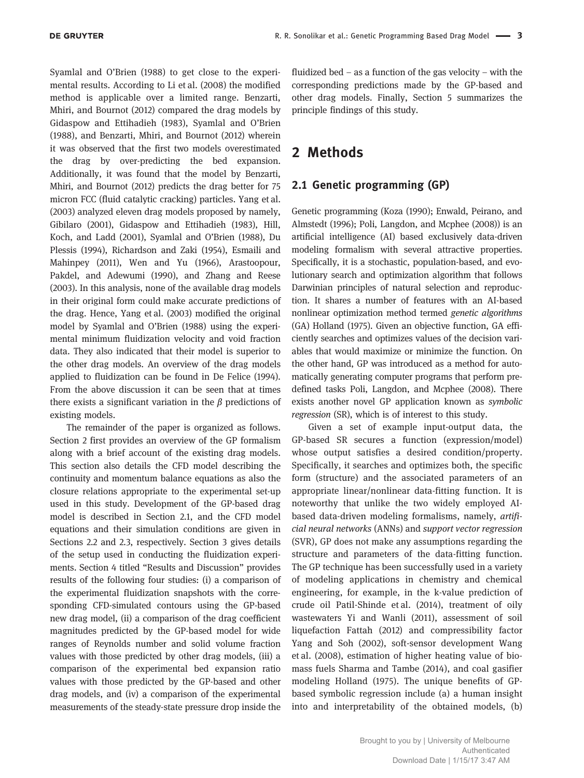Syamlal and O'Brien (1988) to get close to the experimental results. According to Li et al. (2008) the modified method is applicable over a limited range. Benzarti, Mhiri, and Bournot (2012) compared the drag models by Gidaspow and Ettihadieh (1983), Syamlal and O'Brien (1988), and Benzarti, Mhiri, and Bournot (2012) wherein it was observed that the first two models overestimated the drag by over-predicting the bed expansion. Additionally, it was found that the model by Benzarti, Mhiri, and Bournot (2012) predicts the drag better for 75 micron FCC (fluid catalytic cracking) particles. Yang et al. (2003) analyzed eleven drag models proposed by namely, Gibilaro (2001), Gidaspow and Ettihadieh (1983), Hill, Koch, and Ladd (2001), Syamlal and O'Brien (1988), Du Plessis (1994), Richardson and Zaki (1954), Esmaili and Mahinpey (2011), Wen and Yu (1966), Arastoopour, Pakdel, and Adewumi (1990), and Zhang and Reese (2003). In this analysis, none of the available drag models in their original form could make accurate predictions of the drag. Hence, Yang et al. (2003) modified the original model by Syamlal and O'Brien (1988) using the experimental minimum fluidization velocity and void fraction data. They also indicated that their model is superior to the other drag models. An overview of the drag models applied to fluidization can be found in De Felice (1994). From the above discussion it can be seen that at times there exists a significant variation in the  $\beta$  predictions of existing models.

The remainder of the paper is organized as follows. Section 2 first provides an overview of the GP formalism along with a brief account of the existing drag models. This section also details the CFD model describing the continuity and momentum balance equations as also the closure relations appropriate to the experimental set-up used in this study. Development of the GP-based drag model is described in Section 2.1, and the CFD model equations and their simulation conditions are given in Sections 2.2 and 2.3, respectively. Section 3 gives details of the setup used in conducting the fluidization experiments. Section 4 titled "Results and Discussion" provides results of the following four studies: (i) a comparison of the experimental fluidization snapshots with the corresponding CFD-simulated contours using the GP-based new drag model, (ii) a comparison of the drag coefficient magnitudes predicted by the GP-based model for wide ranges of Reynolds number and solid volume fraction values with those predicted by other drag models, (iii) a comparison of the experimental bed expansion ratio values with those predicted by the GP-based and other drag models, and (iv) a comparison of the experimental measurements of the steady-state pressure drop inside the

fluidized bed – as a function of the gas velocity – with the corresponding predictions made by the GP-based and other drag models. Finally, Section 5 summarizes the principle findings of this study.

## 2 Methods

#### 2.1 Genetic programming (GP)

Genetic programming (Koza (1990); Enwald, Peirano, and Almstedt (1996); Poli, Langdon, and Mcphee (2008)) is an artificial intelligence (AI) based exclusively data-driven modeling formalism with several attractive properties. Specifically, it is a stochastic, population-based, and evolutionary search and optimization algorithm that follows Darwinian principles of natural selection and reproduction. It shares a number of features with an AI-based nonlinear optimization method termed genetic algorithms (GA) Holland (1975). Given an objective function, GA efficiently searches and optimizes values of the decision variables that would maximize or minimize the function. On the other hand, GP was introduced as a method for automatically generating computer programs that perform predefined tasks Poli, Langdon, and Mcphee (2008). There exists another novel GP application known as symbolic regression (SR), which is of interest to this study.

Given a set of example input-output data, the GP-based SR secures a function (expression/model) whose output satisfies a desired condition/property. Specifically, it searches and optimizes both, the specific form (structure) and the associated parameters of an appropriate linear/nonlinear data-fitting function. It is noteworthy that unlike the two widely employed AIbased data-driven modeling formalisms, namely, artificial neural networks (ANNs) and support vector regression (SVR), GP does not make any assumptions regarding the structure and parameters of the data-fitting function. The GP technique has been successfully used in a variety of modeling applications in chemistry and chemical engineering, for example, in the k-value prediction of crude oil Patil-Shinde et al. (2014), treatment of oily wastewaters Yi and Wanli (2011), assessment of soil liquefaction Fattah (2012) and compressibility factor Yang and Soh (2002), soft-sensor development Wang et al. (2008), estimation of higher heating value of biomass fuels Sharma and Tambe (2014), and coal gasifier modeling Holland (1975). The unique benefits of GPbased symbolic regression include (a) a human insight into and interpretability of the obtained models, (b)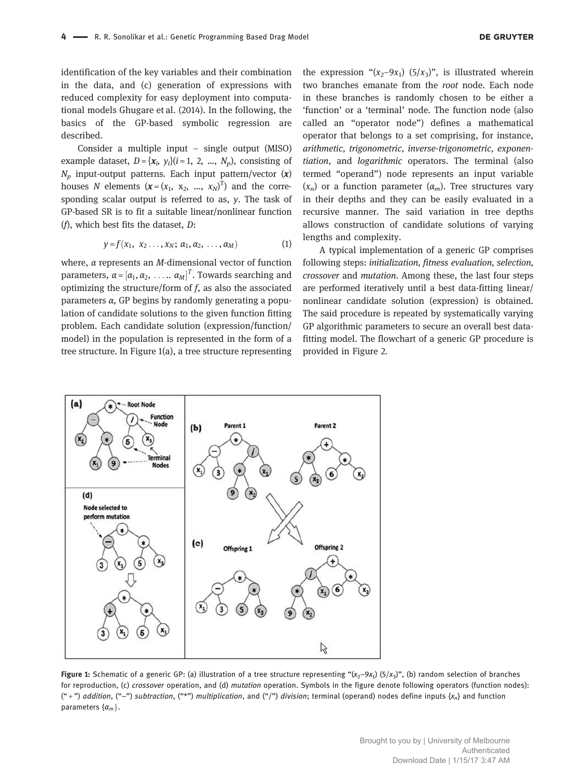identification of the key variables and their combination in the data, and (c) generation of expressions with reduced complexity for easy deployment into computational models Ghugare et al. (2014). In the following, the basics of the GP-based symbolic regression are described.

Consider a multiple input – single output (MISO) example dataset,  $D = \{x_i, y_i\}$  (*i* = 1, 2, ...,  $N_p$ ), consisting of  $N_p$  input-output patterns. Each input pattern/vector  $(x)$ houses N elements  $(x = (x_1, x_2, ..., x_N)^T)$  and the corresponding scalar output is referred to as,  $y$ . The task of GP-based SR is to fit a suitable linear/nonlinear function ( $f$ ), which best fits the dataset,  $D$ :

$$
y = f(x_1, x_2 \ldots, x_N; \alpha_1, \alpha_2, \ldots, \alpha_M)
$$
 (1)

where,  $\alpha$  represents an *M*-dimensional vector of function parameters,  $\alpha = [\alpha_1, \alpha_2, \ldots, \alpha_M]^T$ . Towards searching and optimizing the structure/form of  $f$ , as also the associated parameters α, GP begins by randomly generating a population of candidate solutions to the given function fitting problem. Each candidate solution (expression/function/ model) in the population is represented in the form of a tree structure. In Figure 1(a), a tree structure representing

the expression " $(x_2-9x_1)$   $(5/x_3)$ ", is illustrated wherein two branches emanate from the root node. Each node in these branches is randomly chosen to be either a 'function' or a 'terminal' node. The function node (also called an "operator node") defines a mathematical operator that belongs to a set comprising, for instance, arithmetic, trigonometric, inverse-trigonometric, exponentiation, and logarithmic operators. The terminal (also termed "operand") node represents an input variable  $(x_n)$  or a function parameter  $(\alpha_m)$ . Tree structures vary in their depths and they can be easily evaluated in a recursive manner. The said variation in tree depths allows construction of candidate solutions of varying lengths and complexity.

A typical implementation of a generic GP comprises following steps: initialization, fitness evaluation, selection, crossover and mutation. Among these, the last four steps are performed iteratively until a best data-fitting linear/ nonlinear candidate solution (expression) is obtained. The said procedure is repeated by systematically varying GP algorithmic parameters to secure an overall best datafitting model. The flowchart of a generic GP procedure is provided in Figure 2.



**Figure 1:** Schematic of a generic GP: (a) illustration of a tree structure representing " $(x_2-9x_1)$   $(5/x_3)$ ", (b) random selection of branches for reproduction, (c) crossover operation, and (d) mutation operation. Symbols in the figure denote following operators (function nodes): ("+") addition, ("-") subtraction, ("\*") multiplication, and ("|") division; terminal (operand) nodes define inputs {x<sub>n</sub>} and function parameters  $\{\alpha_m\}$ .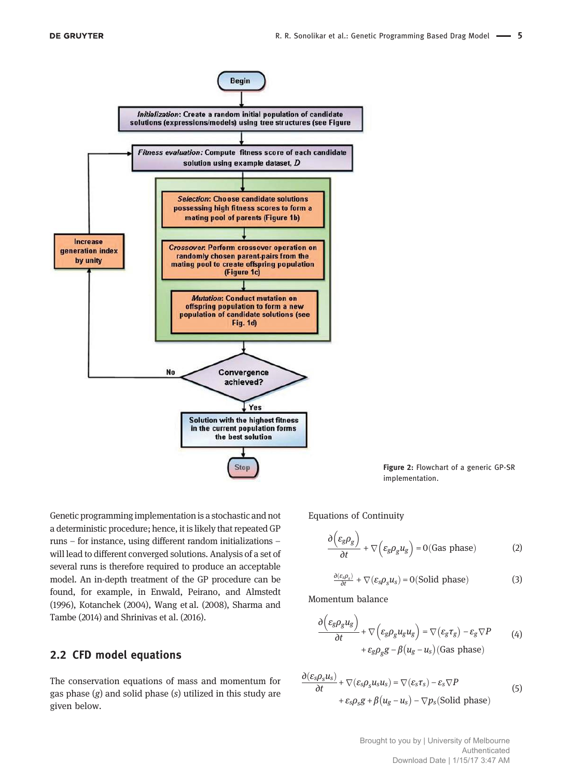**DE GRUYTER** 



Figure 2: Flowchart of a generic GP-SR implementation.

Genetic programming implementation is a stochastic and not a deterministic procedure; hence, it is likely that repeated GP runs – for instance, using different random initializations – will lead to different converged solutions. Analysis of a set of several runs is therefore required to produce an acceptable model. An in-depth treatment of the GP procedure can be found, for example, in Enwald, Peirano, and Almstedt (1996), Kotanchek (2004), Wang et al. (2008), Sharma and Tambe (2014) and Shrinivas et al. (2016).

#### 2.2 CFD model equations

The conservation equations of mass and momentum for gas phase  $(g)$  and solid phase  $(s)$  utilized in this study are given below.

Equations of Continuity

$$
\frac{\partial \left(\varepsilon_g \rho_g\right)}{\partial t} + \nabla \left(\varepsilon_g \rho_g u_g\right) = 0 \text{(Gas phase)}\tag{2}
$$

$$
\frac{\partial(\varepsilon_s \rho_s)}{\partial t} + \nabla(\varepsilon_s \rho_s u_s) = 0 \text{(Solid phase)}\tag{3}
$$

Momentum balance

$$
\frac{\partial (\varepsilon_g \rho_g u_g)}{\partial t} + \nabla (\varepsilon_g \rho_g u_g u_g) = \nabla (\varepsilon_g \tau_g) - \varepsilon_g \nabla P \qquad (4)
$$
  
+  $\varepsilon_g \rho_g g - \beta (u_g - u_s) \text{(Gas phase)}$ 

$$
\frac{\partial(\varepsilon_{s}\rho_{s}u_{s})}{\partial t} + \nabla(\varepsilon_{s}\rho_{s}u_{s}u_{s}) = \nabla(\varepsilon_{s}\tau_{s}) - \varepsilon_{s}\nabla P
$$
\n
$$
+ \varepsilon_{s}\rho_{s}g + \beta(u_{g} - u_{s}) - \nabla p_{s}(\text{Solid phase})
$$
\n(5)

Brought to you by | University of Melbourne Authenticated Download Date | 1/15/17 3:47 AM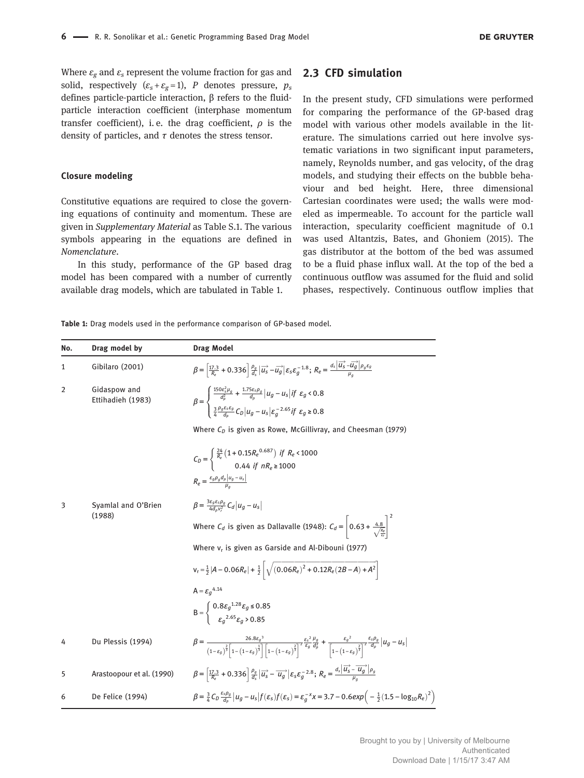Where  $\varepsilon_{g}$  and  $\varepsilon_{s}$  represent the volume fraction for gas and solid, respectively  $(\varepsilon_s + \varepsilon_g = 1)$ , P denotes pressure,  $p_s$ defines particle-particle interaction, β refers to the fluidparticle interaction coefficient (interphase momentum transfer coefficient), i.e. the drag coefficient,  $\rho$  is the density of particles, and  $\tau$  denotes the stress tensor.

#### Closure modeling

Constitutive equations are required to close the governing equations of continuity and momentum. These are given in Supplementary Material as Table S.1. The various symbols appearing in the equations are defined in Nomenclature.

In this study, performance of the GP based drag model has been compared with a number of currently available drag models, which are tabulated in Table 1.

#### 2.3 CFD simulation

In the present study, CFD simulations were performed for comparing the performance of the GP-based drag model with various other models available in the literature. The simulations carried out here involve systematic variations in two significant input parameters, namely, Reynolds number, and gas velocity, of the drag models, and studying their effects on the bubble behaviour and bed height. Here, three dimensional Cartesian coordinates were used; the walls were modeled as impermeable. To account for the particle wall interaction, specularity coefficient magnitude of 0.1 was used Altantzis, Bates, and Ghoniem (2015). The gas distributor at the bottom of the bed was assumed to be a fluid phase influx wall. At the top of the bed a continuous outflow was assumed for the fluid and solid phases, respectively. Continuous outflow implies that

Table 1: Drag models used in the performance comparison of GP-based model.

| No. | Drag model by                     | <b>Drag Model</b>                                                                                                                                                                                                                                                                                                                                                |
|-----|-----------------------------------|------------------------------------------------------------------------------------------------------------------------------------------------------------------------------------------------------------------------------------------------------------------------------------------------------------------------------------------------------------------|
| 1   | Gibilaro (2001)                   | $\beta = \left[\frac{17.3}{R_e} + 0.336\right]\frac{\rho_g}{d_s}\left \overrightarrow{u_s} - \overrightarrow{u_g}\right \varepsilon_s\varepsilon_g^{-1.8};\; R_e = \frac{d_s\left \overrightarrow{u_s} - \overrightarrow{u_g}\right \rho_g\varepsilon_g}{u_s}$                                                                                                   |
| 2   | Gidaspow and<br>Ettihadieh (1983) | $\beta = \begin{cases} \frac{150\epsilon_5\mu_g}{d_p^2} + \frac{1.75\epsilon_5\rho_g}{d_p}  u_g - u_s  if \ \epsilon_g < 0.8 \\ \frac{3}{4} \frac{\sigma_g \epsilon_5 \epsilon_g}{d_n} C_D  u_g - u_s  \epsilon_a^{-2.65} if \ \epsilon_a \ge 0.8 \end{cases}$                                                                                                   |
|     |                                   | Where $C_D$ is given as Rowe, McGillivray, and Cheesman (1979)                                                                                                                                                                                                                                                                                                   |
|     |                                   | $C_D = \begin{cases} \frac{24}{R_e} \left( 1 + 0.15 R_e^{0.687} \right) & \text{if } R_e < 1000 \\ 0.44 & \text{if } nR_e \ge 1000 \end{cases}$<br>$R_e = \frac{\varepsilon_g \rho_g d_p  u_g - u_s }{u}$                                                                                                                                                        |
| 3   | Syamlal and O'Brien               | $\beta = \frac{3\varepsilon_g \varepsilon_s \rho_g}{4d_v v^2} C_d  u_g - u_s $                                                                                                                                                                                                                                                                                   |
|     | (1988)                            | Where $C_d$ is given as Dallavalle (1948): $C_d = \left  0.63 + \frac{4.8}{\sqrt{R_c}} \right ^2$                                                                                                                                                                                                                                                                |
|     |                                   | Where $v_r$ is given as Garside and Al-Dibouni (1977)                                                                                                                                                                                                                                                                                                            |
|     |                                   | $v_r = \frac{1}{2}  A - 0.06R_e  + \frac{1}{2} \sqrt{(0.06R_e)^2 + 0.12R_e(2B-A) + A^2}$                                                                                                                                                                                                                                                                         |
|     |                                   | $A = \varepsilon_a^{4.14}$                                                                                                                                                                                                                                                                                                                                       |
|     |                                   | $B = \begin{cases} 0.8 \varepsilon_g^{1.28} \varepsilon_g \le 0.85 \\ \varepsilon_g^{2.65} \varepsilon_g \ge 0.85 \end{cases}$                                                                                                                                                                                                                                   |
| 4   | Du Plessis (1994)                 | $\beta=\frac{26.8\epsilon_g{}^3}{(1-\epsilon_s)^{\frac{2}{3}}\left[1-\left(1-\epsilon_a\right)^{\frac{1}{3}}\right]\left[1-\left(1-\epsilon_q\right)^{\frac{2}{3}}\right]^2}\frac{\epsilon_s{}^2}{\epsilon_g}\frac{u_g}{d_p^2}+\frac{\epsilon_g{}^2}{\left[1-\left(1-\epsilon_g\right)^{\frac{2}{3}}\right]^2}\frac{\epsilon_s \rho_g}{d_p}\left u_g-u_s\right $ |
| 5   | Arastoopour et al. (1990)         | $\beta = \left[\frac{17.3}{R_0} + 0.336\right] \frac{\rho_g}{d_s} \left \vec{u_s} - \vec{u_g}\right  \varepsilon_s \varepsilon_g^{-2.8}; R_e = \frac{d_s \left \vec{u_s} - \vec{u_g}\right  \rho_g}{u_s}$                                                                                                                                                        |
| 6   | De Felice (1994)                  | $\beta = \frac{3}{4}C_D \frac{\varepsilon_s \rho_g}{d_o} \left  u_g - u_s \right  f(\varepsilon_s) f(\varepsilon_s) = \varepsilon_g^{-x} x = 3.7 - 0.6 \exp \left( -\frac{1}{2} (1.5 - \log_{10} R_e)^2 \right)$                                                                                                                                                 |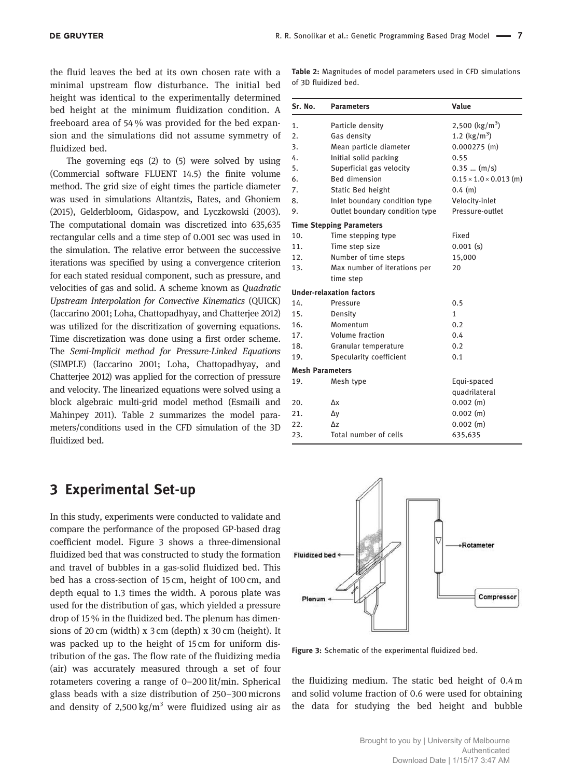the fluid leaves the bed at its own chosen rate with a minimal upstream flow disturbance. The initial bed height was identical to the experimentally determined bed height at the minimum fluidization condition. A freeboard area of 54 % was provided for the bed expansion and the simulations did not assume symmetry of fluidized bed.

The governing eqs (2) to (5) were solved by using (Commercial software FLUENT 14.5) the finite volume method. The grid size of eight times the particle diameter was used in simulations Altantzis, Bates, and Ghoniem (2015), Gelderbloom, Gidaspow, and Lyczkowski (2003). The computational domain was discretized into 635,635 rectangular cells and a time step of 0.001 sec was used in the simulation. The relative error between the successive iterations was specified by using a convergence criterion for each stated residual component, such as pressure, and velocities of gas and solid. A scheme known as Quadratic Upstream Interpolation for Convective Kinematics (QUICK) (Iaccarino 2001; Loha, Chattopadhyay, and Chatterjee 2012) was utilized for the discritization of governing equations. Time discretization was done using a first order scheme. The Semi-Implicit method for Pressure-Linked Equations (SIMPLE) (Iaccarino 2001; Loha, Chattopadhyay, and Chatterjee 2012) was applied for the correction of pressure and velocity. The linearized equations were solved using a block algebraic multi-grid model method (Esmaili and Mahinpey 2011). Table 2 summarizes the model parameters/conditions used in the CFD simulation of the 3D fluidized bed.

## 3 Experimental Set-up

In this study, experiments were conducted to validate and compare the performance of the proposed GP-based drag coefficient model. Figure 3 shows a three-dimensional fluidized bed that was constructed to study the formation and travel of bubbles in a gas-solid fluidized bed. This bed has a cross-section of 15 cm, height of 100 cm, and depth equal to 1.3 times the width. A porous plate was used for the distribution of gas, which yielded a pressure drop of 15 % in the fluidized bed. The plenum has dimensions of 20 cm (width) x 3 cm (depth) x 30 cm (height). It was packed up to the height of 15 cm for uniform distribution of the gas. The flow rate of the fluidizing media (air) was accurately measured through a set of four rotameters covering a range of 0–200 lit/min. Spherical glass beads with a size distribution of 250–300 microns and density of  $2,500 \text{ kg/m}^3$  were fluidized using air as Table 2: Magnitudes of model parameters used in CFD simulations of 3D fluidized bed.

| Sr. No. | <b>Parameters</b>               | Value                              |
|---------|---------------------------------|------------------------------------|
| 1.      | Particle density                | 2,500 ( $\text{kg/m}^3$ )          |
| 2.      | Gas density                     | 1.2 $(kg/m^3)$                     |
| 3.      | Mean particle diameter          | $0.000275$ (m)                     |
| 4.      | Initial solid packing           | 0.55                               |
| 5.      | Superficial gas velocity        | $0.35$ $(m/s)$                     |
| 6.      | <b>Bed dimension</b>            | $0.15 \times 1.0 \times 0.013$ (m) |
| 7.      | Static Bed height               | $0.4$ (m)                          |
| 8.      | Inlet boundary condition type   | Velocity-inlet                     |
| 9.      | Outlet boundary condition type  | Pressure-outlet                    |
|         | <b>Time Stepping Parameters</b> |                                    |
| 10.     | Time stepping type              | Fixed                              |
| 11.     | Time step size                  | $0.001$ (s)                        |
| 12.     | Number of time steps            | 15,000                             |
| 13.     | Max number of iterations per    | 20                                 |
|         | time step                       |                                    |
|         | <b>Under-relaxation factors</b> |                                    |
| 14.     | Pressure                        | 0.5                                |
| 15.     | Density                         | 1                                  |
| 16.     | Momentum                        | 0.2                                |
| 17.     | Volume fraction                 | 0.4                                |
| 18.     | Granular temperature            | 0.2                                |
| 19.     | Specularity coefficient         | 0.1                                |
|         | <b>Mesh Parameters</b>          |                                    |
| 19.     | Mesh type                       | Equi-spaced                        |
|         |                                 | quadrilateral                      |
| 20.     | Δx                              | $0.002$ (m)                        |
| 21.     | Δy                              | $0.002$ (m)                        |
| 22.     | $\Delta z$                      | $0.002$ (m)                        |
| 23.     | Total number of cells           | 635,635                            |



Figure 3: Schematic of the experimental fluidized bed.

the fluidizing medium. The static bed height of 0.4 m and solid volume fraction of 0.6 were used for obtaining the data for studying the bed height and bubble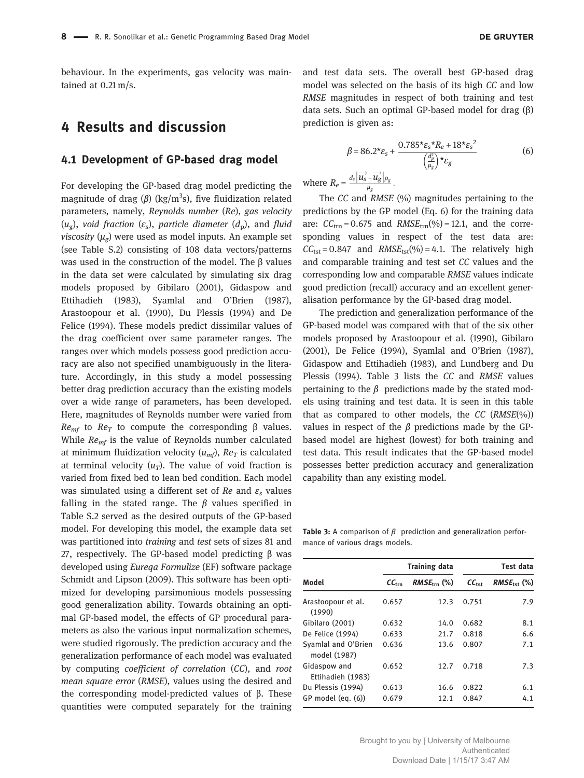behaviour. In the experiments, gas velocity was maintained at 0.21 m/s.

## 4 Results and discussion

#### 4.1 Development of GP-based drag model

For developing the GP-based drag model predicting the magnitude of drag ( $\beta$ ) (kg/m $^3$ s), five fluidization related parameters, namely, Reynolds number (Re), gas velocity (u<sub>g</sub>), void fraction ( $\varepsilon_{\rm s}$ ), particle diameter ( $d_{\rm p}$ ), and fluid *viscosity* ( $\mu_g$ ) were used as model inputs. An example set (see Table S.2) consisting of 108 data vectors/patterns was used in the construction of the model. The β values in the data set were calculated by simulating six drag models proposed by Gibilaro (2001), Gidaspow and Ettihadieh (1983), Syamlal and O'Brien (1987), Arastoopour et al. (1990), Du Plessis (1994) and De Felice (1994). These models predict dissimilar values of the drag coefficient over same parameter ranges. The ranges over which models possess good prediction accuracy are also not specified unambiguously in the literature. Accordingly, in this study a model possessing better drag prediction accuracy than the existing models over a wide range of parameters, has been developed. Here, magnitudes of Reynolds number were varied from  $Re_{\text{mf}}$  to  $Re_{\text{T}}$  to compute the corresponding β values. While  $Re_{mf}$  is the value of Reynolds number calculated at minimum fluidization velocity  $(u_{mf})$ ,  $Re_T$  is calculated at terminal velocity  $(u_T)$ . The value of void fraction is varied from fixed bed to lean bed condition. Each model was simulated using a different set of Re and  $\varepsilon$ <sub>s</sub> values falling in the stated range. The  $\beta$  values specified in Table S.2 served as the desired outputs of the GP-based model. For developing this model, the example data set was partitioned into training and test sets of sizes 81 and 27, respectively. The GP-based model predicting β was developed using Eureqa Formulize (EF) software package Schmidt and Lipson (2009). This software has been optimized for developing parsimonious models possessing good generalization ability. Towards obtaining an optimal GP-based model, the effects of GP procedural parameters as also the various input normalization schemes, were studied rigorously. The prediction accuracy and the generalization performance of each model was evaluated by computing coefficient of correlation (CC), and root mean square error (RMSE), values using the desired and the corresponding model-predicted values of β. These quantities were computed separately for the training

and test data sets. The overall best GP-based drag model was selected on the basis of its high CC and low RMSE magnitudes in respect of both training and test data sets. Such an optimal GP-based model for drag (β) prediction is given as:

$$
\beta = 86.2^* \varepsilon_s + \frac{0.785^* \varepsilon_s^* R_e + 18^* \varepsilon_s^2}{\left(\frac{d_p^2}{\mu_g}\right)^* \varepsilon_g}
$$
(6)  

$$
d_s |\overrightarrow{u_s} - \overrightarrow{u_s}|_{\rho_e}
$$

where  $R_e = \frac{d_s \left| \overrightarrow{u_s} - \overrightarrow{u_g} \right| \rho_g}{\mu_g}$ .

The CC and RMSE (%) magnitudes pertaining to the predictions by the GP model (Eq. 6) for the training data are:  $CC_{\text{trn}} = 0.675$  and  $RMSE_{\text{trn}}(\%) = 12.1$ , and the corresponding values in respect of the test data are:  $CC_{\text{tst}} = 0.847$  and  $RMSE_{\text{tst}}(% ) = 4.1$ . The relatively high and comparable training and test set CC values and the corresponding low and comparable RMSE values indicate good prediction (recall) accuracy and an excellent generalisation performance by the GP-based drag model.

The prediction and generalization performance of the GP-based model was compared with that of the six other models proposed by Arastoopour et al. (1990), Gibilaro (2001), De Felice (1994), Syamlal and O'Brien (1987), Gidaspow and Ettihadieh (1983), and Lundberg and Du Plessis (1994). Table 3 lists the CC and RMSE values pertaining to the  $\beta$  predictions made by the stated models using training and test data. It is seen in this table that as compared to other models, the  $CC$  ( $RMSE(\%)$ ) values in respect of the β predictions made by the GPbased model are highest (lowest) for both training and test data. This result indicates that the GP-based model possesses better prediction accuracy and generalization capability than any existing model.

Table 3: A comparison of  $\beta$  prediction and generalization performance of various drags models.

|                                     |                   | <b>Training data</b>    | Test data         |                         |  |
|-------------------------------------|-------------------|-------------------------|-------------------|-------------------------|--|
| Model                               | $CC_{\text{trn}}$ | $RMSE_{\text{trn}}$ (%) | $CC_{\text{tst}}$ | $RMSE_{\text{tot}}$ (%) |  |
| Arastoopour et al.<br>(1990)        | 0.657             | 12.3                    | 0.751             | 7.9                     |  |
| Gibilaro (2001)                     | 0.632             | 14.0                    | 0.682             | 8.1                     |  |
| De Felice (1994)                    | 0.633             | 21.7                    | 0.818             | 6.6                     |  |
| Syamlal and O'Brien<br>model (1987) | 0.636             | 13.6                    | 0.807             | 7.1                     |  |
| Gidaspow and<br>Ettihadieh (1983)   | 0.652             | 12.7                    | 0.718             | 7.3                     |  |
| Du Plessis (1994)                   | 0.613             | 16.6                    | 0.822             | 6.1                     |  |
| GP model (eq. (6))                  | 0.679             | 12.1                    | 0.847             | 4.1                     |  |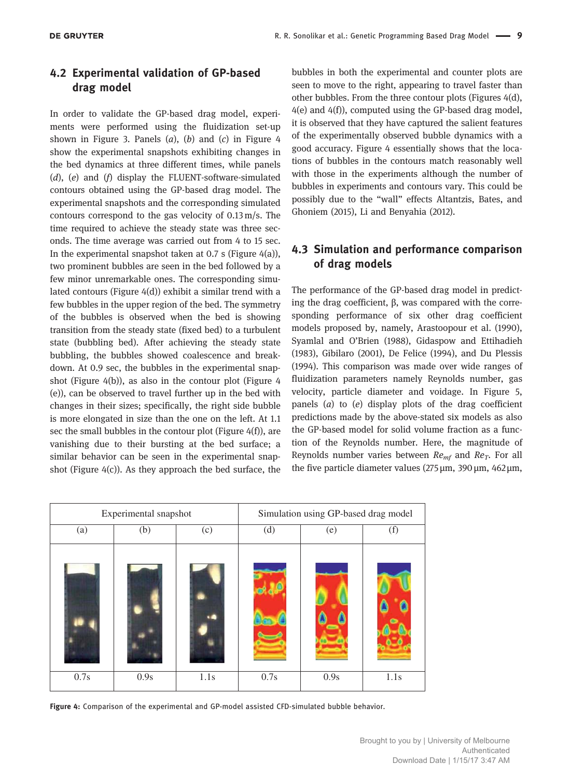## 4.2 Experimental validation of GP-based drag model

In order to validate the GP-based drag model, experiments were performed using the fluidization set-up shown in Figure 3. Panels  $(a)$ ,  $(b)$  and  $(c)$  in Figure 4 show the experimental snapshots exhibiting changes in the bed dynamics at three different times, while panels  $(d)$ ,  $(e)$  and  $(f)$  display the FLUENT-software-simulated contours obtained using the GP-based drag model. The experimental snapshots and the corresponding simulated contours correspond to the gas velocity of 0.13 m/s. The time required to achieve the steady state was three seconds. The time average was carried out from 4 to 15 sec. In the experimental snapshot taken at 0.7 s (Figure  $4(a)$ ), two prominent bubbles are seen in the bed followed by a few minor unremarkable ones. The corresponding simulated contours (Figure 4(d)) exhibit a similar trend with a few bubbles in the upper region of the bed. The symmetry of the bubbles is observed when the bed is showing transition from the steady state (fixed bed) to a turbulent state (bubbling bed). After achieving the steady state bubbling, the bubbles showed coalescence and breakdown. At 0.9 sec, the bubbles in the experimental snapshot (Figure 4(b)), as also in the contour plot (Figure 4 (e)), can be observed to travel further up in the bed with changes in their sizes; specifically, the right side bubble is more elongated in size than the one on the left. At 1.1 sec the small bubbles in the contour plot (Figure 4(f)), are vanishing due to their bursting at the bed surface; a similar behavior can be seen in the experimental snapshot (Figure 4(c)). As they approach the bed surface, the

bubbles in both the experimental and counter plots are seen to move to the right, appearing to travel faster than other bubbles. From the three contour plots (Figures 4(d), 4(e) and 4(f)), computed using the GP-based drag model, it is observed that they have captured the salient features of the experimentally observed bubble dynamics with a good accuracy. Figure 4 essentially shows that the locations of bubbles in the contours match reasonably well with those in the experiments although the number of bubbles in experiments and contours vary. This could be possibly due to the "wall" effects Altantzis, Bates, and Ghoniem (2015), Li and Benyahia (2012).

## 4.3 Simulation and performance comparison of drag models

The performance of the GP-based drag model in predicting the drag coefficient, β, was compared with the corresponding performance of six other drag coefficient models proposed by, namely, Arastoopour et al. (1990), Syamlal and O'Brien (1988), Gidaspow and Ettihadieh (1983), Gibilaro (2001), De Felice (1994), and Du Plessis (1994). This comparison was made over wide ranges of fluidization parameters namely Reynolds number, gas velocity, particle diameter and voidage. In Figure 5, panels  $(a)$  to  $(e)$  display plots of the drag coefficient predictions made by the above-stated six models as also the GP-based model for solid volume fraction as a function of the Reynolds number. Here, the magnitude of Reynolds number varies between  $Re_{mf}$  and  $Re_T$ . For all the five particle diameter values ( $275 \,\mu$ m,  $390 \,\mu$ m,  $462 \,\mu$ m,

| Experimental snapshot |      |      |      | Simulation using GP-based drag model |      |
|-----------------------|------|------|------|--------------------------------------|------|
| (a)                   | (b)  | (c)  | (d)  | (e)                                  | (f)  |
|                       |      |      |      |                                      |      |
| 0.7s                  | 0.9s | 1.1s | 0.7s | 0.9s                                 | 1.1s |

Figure 4: Comparison of the experimental and GP-model assisted CFD-simulated bubble behavior.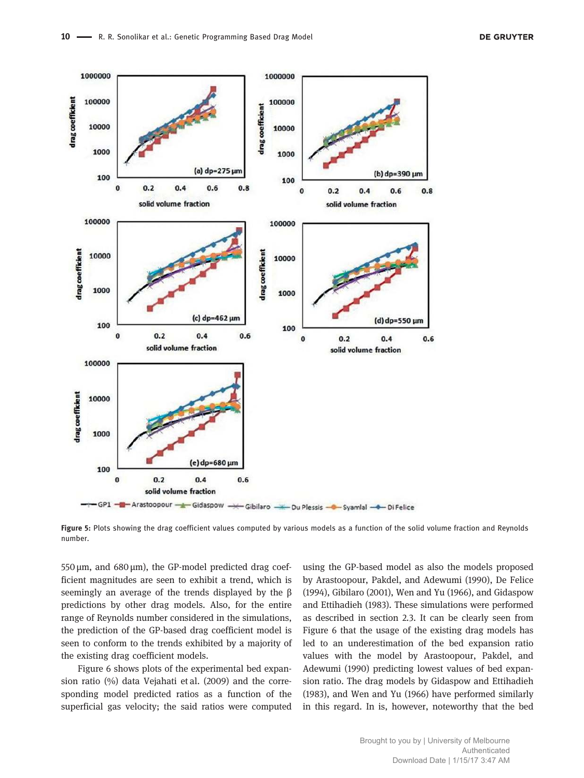

Figure 5: Plots showing the drag coefficient values computed by various models as a function of the solid volume fraction and Reynolds number.

550  $\mu$ m, and 680  $\mu$ m), the GP-model predicted drag coefficient magnitudes are seen to exhibit a trend, which is seemingly an average of the trends displayed by the β predictions by other drag models. Also, for the entire range of Reynolds number considered in the simulations, the prediction of the GP-based drag coefficient model is seen to conform to the trends exhibited by a majority of the existing drag coefficient models.

Figure 6 shows plots of the experimental bed expansion ratio (%) data Vejahati et al. (2009) and the corresponding model predicted ratios as a function of the superficial gas velocity; the said ratios were computed

using the GP-based model as also the models proposed by Arastoopour, Pakdel, and Adewumi (1990), De Felice (1994), Gibilaro (2001), Wen and Yu (1966), and Gidaspow and Ettihadieh (1983). These simulations were performed as described in section 2.3. It can be clearly seen from Figure 6 that the usage of the existing drag models has led to an underestimation of the bed expansion ratio values with the model by Arastoopour, Pakdel, and Adewumi (1990) predicting lowest values of bed expansion ratio. The drag models by Gidaspow and Ettihadieh (1983), and Wen and Yu (1966) have performed similarly in this regard. In is, however, noteworthy that the bed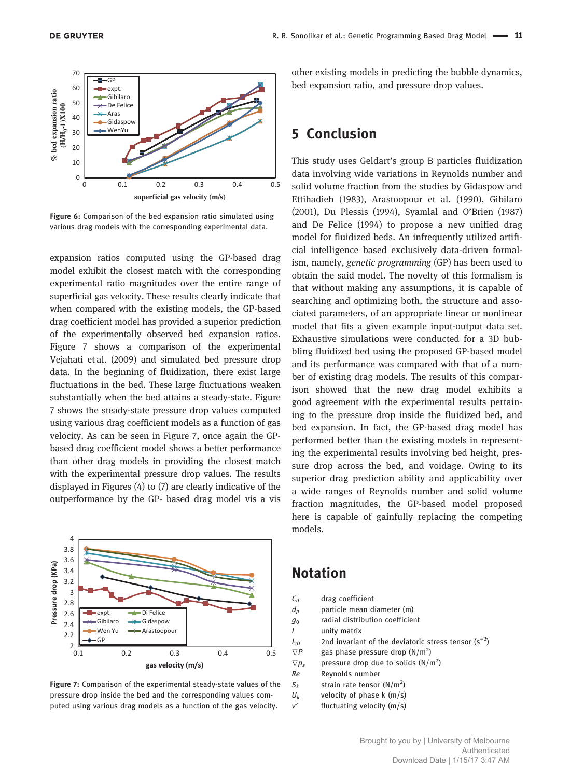

Figure 6: Comparison of the bed expansion ratio simulated using various drag models with the corresponding experimental data.

expansion ratios computed using the GP-based drag model exhibit the closest match with the corresponding experimental ratio magnitudes over the entire range of superficial gas velocity. These results clearly indicate that when compared with the existing models, the GP-based drag coefficient model has provided a superior prediction of the experimentally observed bed expansion ratios. Figure 7 shows a comparison of the experimental Vejahati et al. (2009) and simulated bed pressure drop data. In the beginning of fluidization, there exist large fluctuations in the bed. These large fluctuations weaken substantially when the bed attains a steady-state. Figure 7 shows the steady-state pressure drop values computed using various drag coefficient models as a function of gas velocity. As can be seen in Figure 7, once again the GPbased drag coefficient model shows a better performance than other drag models in providing the closest match with the experimental pressure drop values. The results displayed in Figures (4) to (7) are clearly indicative of the outperformance by the GP- based drag model vis a vis



Figure 7: Comparison of the experimental steady-state values of the pressure drop inside the bed and the corresponding values computed using various drag models as a function of the gas velocity.

other existing models in predicting the bubble dynamics, bed expansion ratio, and pressure drop values.

## 5 Conclusion

This study uses Geldart's group B particles fluidization data involving wide variations in Reynolds number and solid volume fraction from the studies by Gidaspow and Ettihadieh (1983), Arastoopour et al. (1990), Gibilaro (2001), Du Plessis (1994), Syamlal and O'Brien (1987) and De Felice (1994) to propose a new unified drag model for fluidized beds. An infrequently utilized artificial intelligence based exclusively data-driven formalism, namely, genetic programming (GP) has been used to obtain the said model. The novelty of this formalism is that without making any assumptions, it is capable of searching and optimizing both, the structure and associated parameters, of an appropriate linear or nonlinear model that fits a given example input-output data set. Exhaustive simulations were conducted for a 3D bubbling fluidized bed using the proposed GP-based model and its performance was compared with that of a number of existing drag models. The results of this comparison showed that the new drag model exhibits a good agreement with the experimental results pertaining to the pressure drop inside the fluidized bed, and bed expansion. In fact, the GP-based drag model has performed better than the existing models in representing the experimental results involving bed height, pressure drop across the bed, and voidage. Owing to its superior drag prediction ability and applicability over a wide ranges of Reynolds number and solid volume fraction magnitudes, the GP-based model proposed here is capable of gainfully replacing the competing models.

## Notation

| $\mathcal{C}_d$ | drag coefficient                                         |
|-----------------|----------------------------------------------------------|
| $d_p$           | particle mean diameter (m)                               |
| g <sub>0</sub>  | radial distribution coefficient                          |
| I               | unity matrix                                             |
| $I_{2D}$        | 2nd invariant of the deviatoric stress tensor $(s^{-2})$ |
| $\nabla P$      | gas phase pressure drop $(N/m^2)$                        |
| $\nabla p_s$    | pressure drop due to solids $(N/m^2)$                    |
| Re              | Reynolds number                                          |
|                 |                                                          |

- $S_k$  strain rate tensor (N/m<sup>2</sup>)
- $U_k$  velocity of phase k (m/s)
- v′ fluctuating velocity (m/s)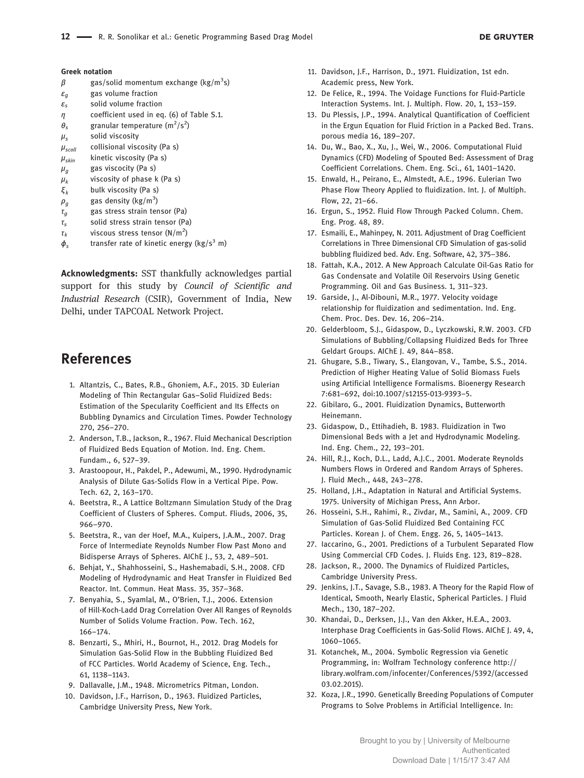#### Greek notation

- $\beta$  gas/solid momentum exchange (kg/m<sup>3</sup>s)
- $\varepsilon_g$  gas volume fraction
- $\varepsilon_{s}$  solid volume fraction
- η coefficient used in eq. (6) of Table S.1.
- $\theta_s$  granular temperature  $(m^2/s^2)$
- $\mu_s$ solid viscosity
- $\mu_{\textit{scoll}}$  collisional viscosity (Pa s)
- $\mu_{skin}$  kinetic viscosity (Pa s)
- $\mu_g$  gas viscocity (Pa s)
- $\mu_k$ viscosity of phase k (Pa s)
- $\xi_k$  bulk viscosity (Pa s)
- $\rho_g$  gas density (kg/m<sup>3</sup>)
- $\tau_q$  gas stress strain tensor (Pa)
- $\tau_s$  solid stress strain tensor (Pa)
- $\tau_k$  viscous stress tensor (N/m<sup>2</sup>)
- $\phi_{\rm c}$ transfer rate of kinetic energy ( $\text{kg/s}^3$  m)

Acknowledgments: SST thankfully acknowledges partial support for this study by Council of Scientific and Industrial Research (CSIR), Government of India, New Delhi, under TAPCOAL Network Project.

## References

- 1. Altantzis, C., Bates, R.B., Ghoniem, A.F., 2015. 3D Eulerian Modeling of Thin Rectangular Gas–Solid Fluidized Beds: Estimation of the Specularity Coefficient and Its Effects on Bubbling Dynamics and Circulation Times. Powder Technology 270, 256–270.
- 2. Anderson, T.B., Jackson, R., 1967. Fluid Mechanical Description of Fluidized Beds Equation of Motion. Ind. Eng. Chem. Fundam., 6, 527–39.
- 3. Arastoopour, H., Pakdel, P., Adewumi, M., 1990. Hydrodynamic Analysis of Dilute Gas-Solids Flow in a Vertical Pipe. Pow. Tech. 62, 2, 163–170.
- 4. Beetstra, R., A Lattice Boltzmann Simulation Study of the Drag Coefficient of Clusters of Spheres. Comput. Fliuds, 2006, 35, 966–970.
- 5. Beetstra, R., van der Hoef, M.A., Kuipers, J.A.M., 2007. Drag Force of Intermediate Reynolds Number Flow Past Mono and Bidisperse Arrays of Spheres. AIChE J., 53, 2, 489–501.
- 6. Behjat, Y., Shahhosseini, S., Hashemabadi, S.H., 2008. CFD Modeling of Hydrodynamic and Heat Transfer in Fluidized Bed Reactor. Int. Commun. Heat Mass. 35, 357–368.
- 7. Benyahia, S., Syamlal, M., O'Brien, T.J., 2006. Extension of Hill-Koch-Ladd Drag Correlation Over All Ranges of Reynolds Number of Solids Volume Fraction. Pow. Tech. 162, 166–174.
- 8. Benzarti, S., Mhiri, H., Bournot, H., 2012. Drag Models for Simulation Gas-Solid Flow in the Bubbling Fluidized Bed of FCC Particles. World Academy of Science, Eng. Tech., 61, 1138–1143.
- 9. Dallavalle, J.M., 1948. Micrometrics Pitman, London.
- 10. Davidson, J.F., Harrison, D., 1963. Fluidized Particles, Cambridge University Press, New York.
- 11. Davidson, J.F., Harrison, D., 1971. Fluidization, 1st edn. Academic press, New York.
- 12. De Felice, R., 1994. The Voidage Functions for Fluid-Particle Interaction Systems. Int. J. Multiph. Flow. 20, 1, 153–159.
- 13. Du Plessis, J.P., 1994. Analytical Quantification of Coefficient in the Ergun Equation for Fluid Friction in a Packed Bed. Trans. porous media 16, 189–207.
- 14. Du, W., Bao, X., Xu, J., Wei, W., 2006. Computational Fluid Dynamics (CFD) Modeling of Spouted Bed: Assessment of Drag Coefficient Correlations. Chem. Eng. Sci., 61, 1401–1420.
- 15. Enwald, H., Peirano, E., Almstedt, A.E., 1996. Eulerian Two Phase Flow Theory Applied to fluidization. Int. J. of Multiph. Flow, 22, 21–66.
- 16. Ergun, S., 1952. Fluid Flow Through Packed Column. Chem. Eng. Prog. 48, 89.
- 17. Esmaili, E., Mahinpey, N. 2011. Adjustment of Drag Coefficient Correlations in Three Dimensional CFD Simulation of gas-solid bubbling fluidized bed. Adv. Eng. Software, 42, 375–386.
- 18. Fattah, K.A., 2012. A New Approach Calculate Oil-Gas Ratio for Gas Condensate and Volatile Oil Reservoirs Using Genetic Programming. Oil and Gas Business. 1, 311–323.
- 19. Garside, J., Al-Dibouni, M.R., 1977. Velocity voidage relationship for fluidization and sedimentation. Ind. Eng. Chem. Proc. Des. Dev. 16, 206–214.
- 20. Gelderbloom, S.J., Gidaspow, D., Lyczkowski, R.W. 2003. CFD Simulations of Bubbling/Collapsing Fluidized Beds for Three Geldart Groups. AIChE J. 49, 844–858.
- 21. Ghugare, S.B., Tiwary, S., Elangovan, V., Tambe, S.S., 2014. Prediction of Higher Heating Value of Solid Biomass Fuels using Artificial Intelligence Formalisms. Bioenergy Research 7:681–692, doi:10.1007/s12155-013-9393–5.
- 22. Gibilaro, G., 2001. Fluidization Dynamics, Butterworth Heinemann.
- 23. Gidaspow, D., Ettihadieh, B. 1983. Fluidization in Two Dimensional Beds with a Jet and Hydrodynamic Modeling. Ind. Eng. Chem., 22, 193–201.
- 24. Hill, R.J., Koch, D.L., Ladd, A.J.C., 2001. Moderate Reynolds Numbers Flows in Ordered and Random Arrays of Spheres. J. Fluid Mech., 448, 243–278.
- 25. Holland, J.H., Adaptation in Natural and Artificial Systems. 1975. University of Michigan Press, Ann Arbor.
- 26. Hosseini, S.H., Rahimi, R., Zivdar, M., Samini, A., 2009. CFD Simulation of Gas-Solid Fluidized Bed Containing FCC Particles. Korean J. of Chem. Engg. 26, 5, 1405–1413.
- 27. Iaccarino, G., 2001. Predictions of a Turbulent Separated Flow Using Commercial CFD Codes. J. Fluids Eng. 123, 819–828.
- 28. Jackson, R., 2000. The Dynamics of Fluidized Particles, Cambridge University Press.
- 29. Jenkins, J.T., Savage, S.B., 1983. A Theory for the Rapid Flow of Identical, Smooth, Nearly Elastic, Spherical Particles. J Fluid Mech., 130, 187–202.
- 30. Khandai, D., Derksen, J.J., Van den Akker, H.E.A., 2003. Interphase Drag Coefficients in Gas-Solid Flows. AIChE J. 49, 4, 1060–1065.
- 31. Kotanchek, M., 2004. Symbolic Regression via Genetic Programming, in: Wolfram Technology conference http:// library.wolfram.com/infocenter/Conferences/5392/(accessed 03.02.2015).
- 32. Koza, J.R., 1990. Genetically Breeding Populations of Computer Programs to Solve Problems in Artificial Intelligence. In: